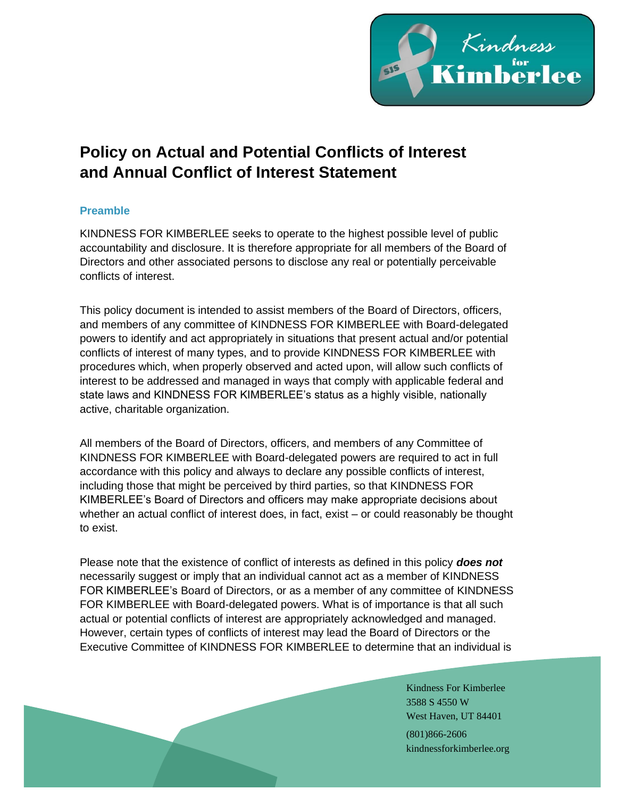

# **Policy on Actual and Potential Conflicts of Interest and Annual Conflict of Interest Statement**

# **Preamble**

KINDNESS FOR KIMBERLEE seeks to operate to the highest possible level of public accountability and disclosure. It is therefore appropriate for all members of the Board of Directors and other associated persons to disclose any real or potentially perceivable conflicts of interest.

This policy document is intended to assist members of the Board of Directors, officers, and members of any committee of KINDNESS FOR KIMBERLEE with Board-delegated powers to identify and act appropriately in situations that present actual and/or potential conflicts of interest of many types, and to provide KINDNESS FOR KIMBERLEE with procedures which, when properly observed and acted upon, will allow such conflicts of interest to be addressed and managed in ways that comply with applicable federal and state laws and KINDNESS FOR KIMBERLEE's status as a highly visible, nationally active, charitable organization.

All members of the Board of Directors, officers, and members of any Committee of KINDNESS FOR KIMBERLEE with Board-delegated powers are required to act in full accordance with this policy and always to declare any possible conflicts of interest, including those that might be perceived by third parties, so that KINDNESS FOR KIMBERLEE's Board of Directors and officers may make appropriate decisions about whether an actual conflict of interest does, in fact, exist – or could reasonably be thought to exist.

Please note that the existence of conflict of interests as defined in this policy *does not* necessarily suggest or imply that an individual cannot act as a member of KINDNESS FOR KIMBERLEE's Board of Directors, or as a member of any committee of KINDNESS FOR KIMBERLEE with Board-delegated powers. What is of importance is that all such actual or potential conflicts of interest are appropriately acknowledged and managed. However, certain types of conflicts of interest may lead the Board of Directors or the Executive Committee of KINDNESS FOR KIMBERLEE to determine that an individual is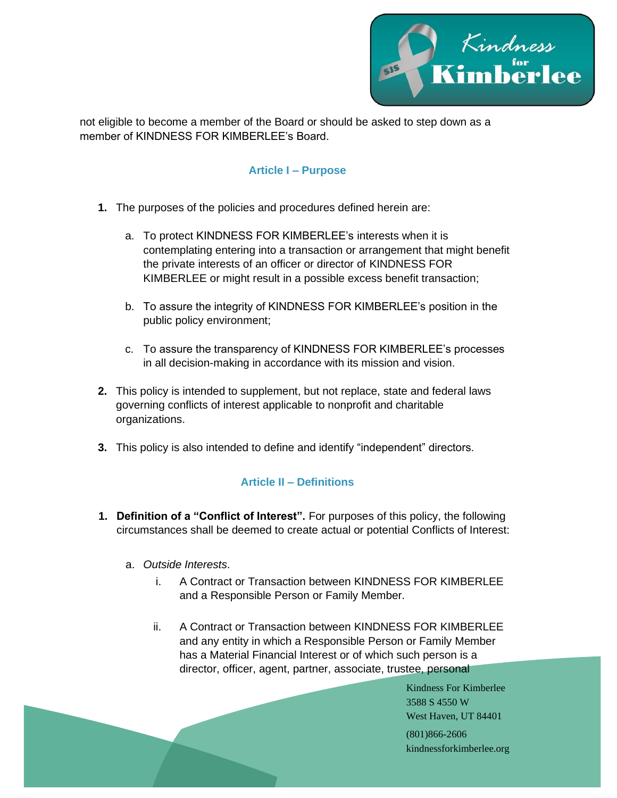

not eligible to become a member of the Board or should be asked to step down as a member of KINDNESS FOR KIMBERLEE's Board

### **Article I – Purpose**

- **1.** The purposes of the policies and procedures defined herein are:
	- a. To protect KINDNESS FOR KIMBERLEE's interests when it is contemplating entering into a transaction or arrangement that might benefit the private interests of an officer or director of KINDNESS FOR KIMBERLEE or might result in a possible excess benefit transaction;
	- b. To assure the integrity of KINDNESS FOR KIMBERLEE's position in the public policy environment;
	- c. To assure the transparency of KINDNESS FOR KIMBERLEE's processes in all decision-making in accordance with its mission and vision.
- **2.** This policy is intended to supplement, but not replace, state and federal laws governing conflicts of interest applicable to nonprofit and charitable organizations.
- **3.** This policy is also intended to define and identify "independent" directors.

# **Article II – Definitions**

- **1. Definition of a "Conflict of Interest".** For purposes of this policy, the following circumstances shall be deemed to create actual or potential Conflicts of Interest:
	- a. *Outside Interests*.
		- i. A Contract or Transaction between KINDNESS FOR KIMBERLEE and a Responsible Person or Family Member.
		- ii. A Contract or Transaction between KINDNESS FOR KIMBERLEE and any entity in which a Responsible Person or Family Member has a Material Financial Interest or of which such person is a director, officer, agent, partner, associate, trustee, personal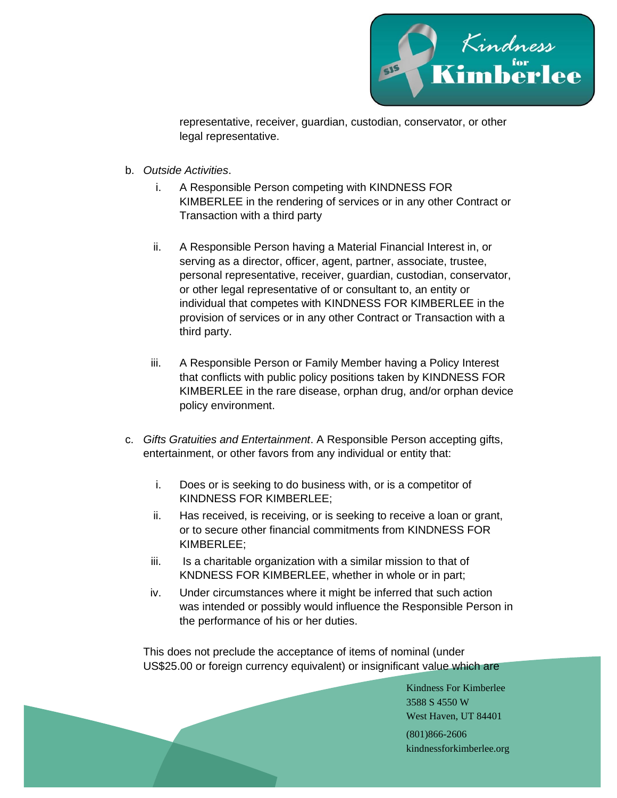

representative, receiver, guardian, custodian, conservator, or other legal representative.

- b. *Outside Activities*.
	- i. A Responsible Person competing with KINDNESS FOR KIMBERLEE in the rendering of services or in any other Contract or Transaction with a third party
	- ii. A Responsible Person having a Material Financial Interest in, or serving as a director, officer, agent, partner, associate, trustee, personal representative, receiver, guardian, custodian, conservator, or other legal representative of or consultant to, an entity or individual that competes with KINDNESS FOR KIMBERLEE in the provision of services or in any other Contract or Transaction with a third party.
	- iii. A Responsible Person or Family Member having a Policy Interest that conflicts with public policy positions taken by KINDNESS FOR KIMBERLEE in the rare disease, orphan drug, and/or orphan device policy environment.
- c. *Gifts Gratuities and Entertainment*. A Responsible Person accepting gifts, entertainment, or other favors from any individual or entity that:
	- i. Does or is seeking to do business with, or is a competitor of KINDNESS FOR KIMBERLEE;
	- ii. Has received, is receiving, or is seeking to receive a loan or grant, or to secure other financial commitments from KINDNESS FOR KIMBERLEE;
	- iii. Is a charitable organization with a similar mission to that of KNDNESS FOR KIMBERLEE, whether in whole or in part;
	- iv. Under circumstances where it might be inferred that such action was intended or possibly would influence the Responsible Person in the performance of his or her duties.

This does not preclude the acceptance of items of nominal (under US\$25.00 or foreign currency equivalent) or insignificant value which are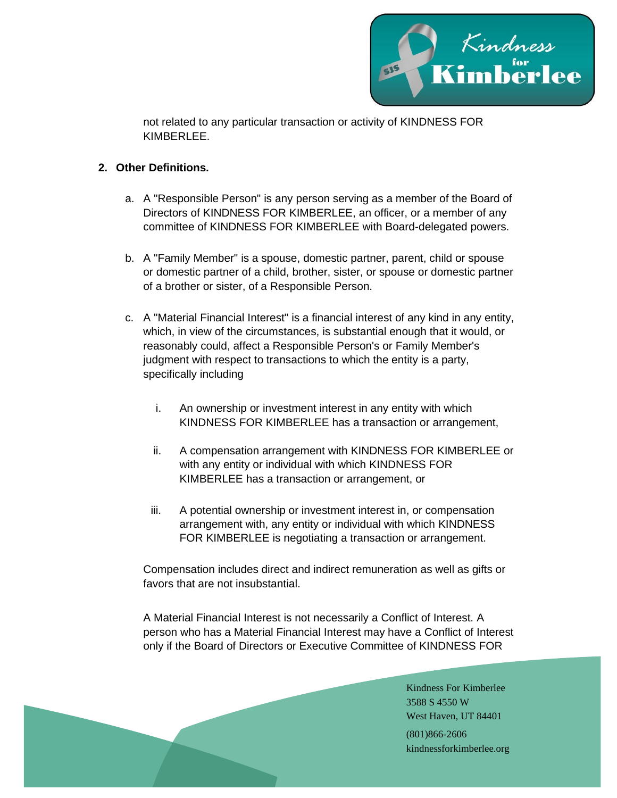

not related to any particular transaction or activity of KINDNESS FOR KIMBERI FF.

#### **2. Other Definitions.**

- a. A "Responsible Person" is any person serving as a member of the Board of Directors of KINDNESS FOR KIMBERLEE, an officer, or a member of any committee of KINDNESS FOR KIMBERLEE with Board-delegated powers.
- b. A "Family Member" is a spouse, domestic partner, parent, child or spouse or domestic partner of a child, brother, sister, or spouse or domestic partner of a brother or sister, of a Responsible Person.
- c. A "Material Financial Interest" is a financial interest of any kind in any entity, which, in view of the circumstances, is substantial enough that it would, or reasonably could, affect a Responsible Person's or Family Member's judgment with respect to transactions to which the entity is a party, specifically including
	- i. An ownership or investment interest in any entity with which KINDNESS FOR KIMBERLEE has a transaction or arrangement,
	- ii. A compensation arrangement with KINDNESS FOR KIMBERLEE or with any entity or individual with which KINDNESS FOR KIMBERLEE has a transaction or arrangement, or
	- iii. A potential ownership or investment interest in, or compensation arrangement with, any entity or individual with which KINDNESS FOR KIMBERLEE is negotiating a transaction or arrangement.

Compensation includes direct and indirect remuneration as well as gifts or favors that are not insubstantial.

A Material Financial Interest is not necessarily a Conflict of Interest. A person who has a Material Financial Interest may have a Conflict of Interest only if the Board of Directors or Executive Committee of KINDNESS FOR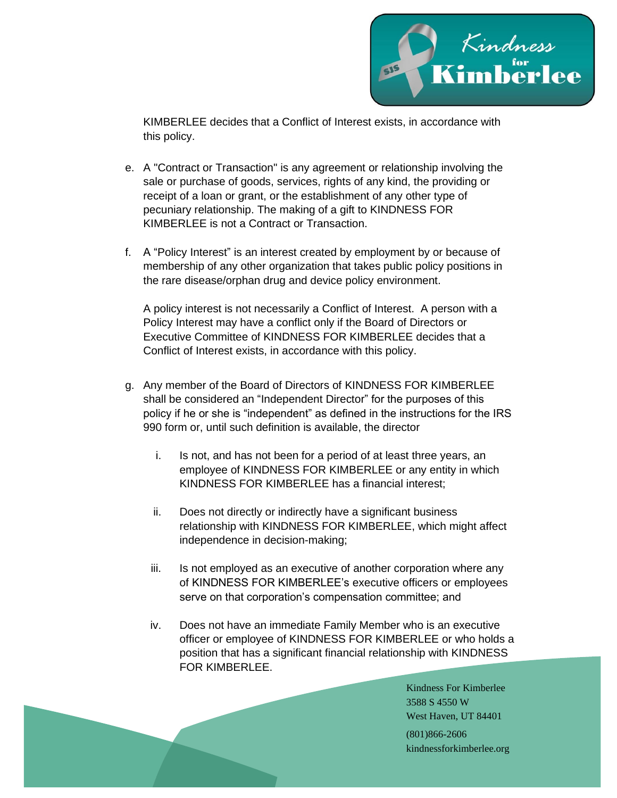

KIMBERLEE decides that a Conflict of Interest exists, in accordance with this policy.

- e. A "Contract or Transaction" is any agreement or relationship involving the sale or purchase of goods, services, rights of any kind, the providing or receipt of a loan or grant, or the establishment of any other type of pecuniary relationship. The making of a gift to KINDNESS FOR KIMBERLEE is not a Contract or Transaction.
- f. A "Policy Interest" is an interest created by employment by or because of membership of any other organization that takes public policy positions in the rare disease/orphan drug and device policy environment.

A policy interest is not necessarily a Conflict of Interest. A person with a Policy Interest may have a conflict only if the Board of Directors or Executive Committee of KINDNESS FOR KIMBERLEE decides that a Conflict of Interest exists, in accordance with this policy.

- g. Any member of the Board of Directors of KINDNESS FOR KIMBERLEE shall be considered an "Independent Director" for the purposes of this policy if he or she is "independent" as defined in the instructions for the IRS 990 form or, until such definition is available, the director
	- i. Is not, and has not been for a period of at least three years, an employee of KINDNESS FOR KIMBERLEE or any entity in which KINDNESS FOR KIMBERLEE has a financial interest;
	- ii. Does not directly or indirectly have a significant business relationship with KINDNESS FOR KIMBERLEE, which might affect independence in decision-making;
	- iii. Is not employed as an executive of another corporation where any of KINDNESS FOR KIMBERLEE's executive officers or employees serve on that corporation's compensation committee; and
	- iv. Does not have an immediate Family Member who is an executive officer or employee of KINDNESS FOR KIMBERLEE or who holds a position that has a significant financial relationship with KINDNESS FOR KIMBERLEE.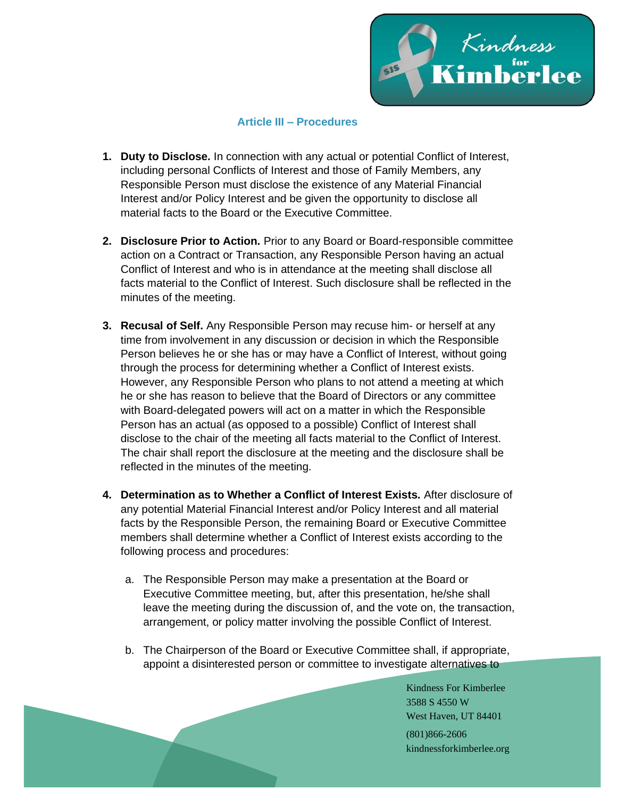

#### **Article III – Procedures**

- **1. Duty to Disclose.** In connection with any actual or potential Conflict of Interest, including personal Conflicts of Interest and those of Family Members, any Responsible Person must disclose the existence of any Material Financial Interest and/or Policy Interest and be given the opportunity to disclose all material facts to the Board or the Executive Committee.
- **2. Disclosure Prior to Action.** Prior to any Board or Board-responsible committee action on a Contract or Transaction, any Responsible Person having an actual Conflict of Interest and who is in attendance at the meeting shall disclose all facts material to the Conflict of Interest. Such disclosure shall be reflected in the minutes of the meeting.
- **3. Recusal of Self.** Any Responsible Person may recuse him- or herself at any time from involvement in any discussion or decision in which the Responsible Person believes he or she has or may have a Conflict of Interest, without going through the process for determining whether a Conflict of Interest exists. However, any Responsible Person who plans to not attend a meeting at which he or she has reason to believe that the Board of Directors or any committee with Board-delegated powers will act on a matter in which the Responsible Person has an actual (as opposed to a possible) Conflict of Interest shall disclose to the chair of the meeting all facts material to the Conflict of Interest. The chair shall report the disclosure at the meeting and the disclosure shall be reflected in the minutes of the meeting.
- **4. Determination as to Whether a Conflict of Interest Exists.** After disclosure of any potential Material Financial Interest and/or Policy Interest and all material facts by the Responsible Person, the remaining Board or Executive Committee members shall determine whether a Conflict of Interest exists according to the following process and procedures:
	- a. The Responsible Person may make a presentation at the Board or Executive Committee meeting, but, after this presentation, he/she shall leave the meeting during the discussion of, and the vote on, the transaction, arrangement, or policy matter involving the possible Conflict of Interest.
	- b. The Chairperson of the Board or Executive Committee shall, if appropriate, appoint a disinterested person or committee to investigate alternatives to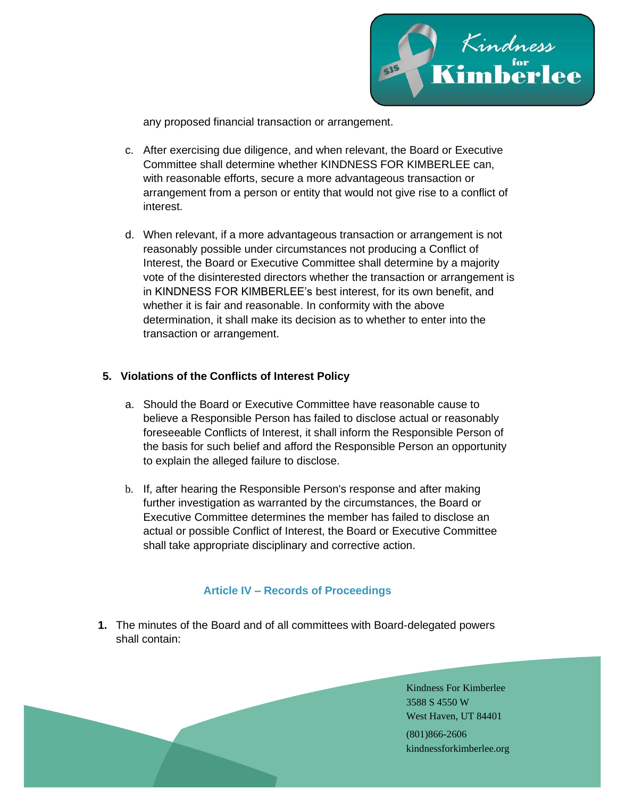

any proposed financial transaction or arrangement.

- c. After exercising due diligence, and when relevant, the Board or Executive Committee shall determine whether KINDNESS FOR KIMBERLEE can, with reasonable efforts, secure a more advantageous transaction or arrangement from a person or entity that would not give rise to a conflict of interest.
- d. When relevant, if a more advantageous transaction or arrangement is not reasonably possible under circumstances not producing a Conflict of Interest, the Board or Executive Committee shall determine by a majority vote of the disinterested directors whether the transaction or arrangement is in KINDNESS FOR KIMBERLEE's best interest, for its own benefit, and whether it is fair and reasonable. In conformity with the above determination, it shall make its decision as to whether to enter into the transaction or arrangement.

#### **5. Violations of the Conflicts of Interest Policy**

- a. Should the Board or Executive Committee have reasonable cause to believe a Responsible Person has failed to disclose actual or reasonably foreseeable Conflicts of Interest, it shall inform the Responsible Person of the basis for such belief and afford the Responsible Person an opportunity to explain the alleged failure to disclose.
- b. If, after hearing the Responsible Person's response and after making further investigation as warranted by the circumstances, the Board or Executive Committee determines the member has failed to disclose an actual or possible Conflict of Interest, the Board or Executive Committee shall take appropriate disciplinary and corrective action.

#### **Article IV – Records of Proceedings**

**1.** The minutes of the Board and of all committees with Board-delegated powers shall contain: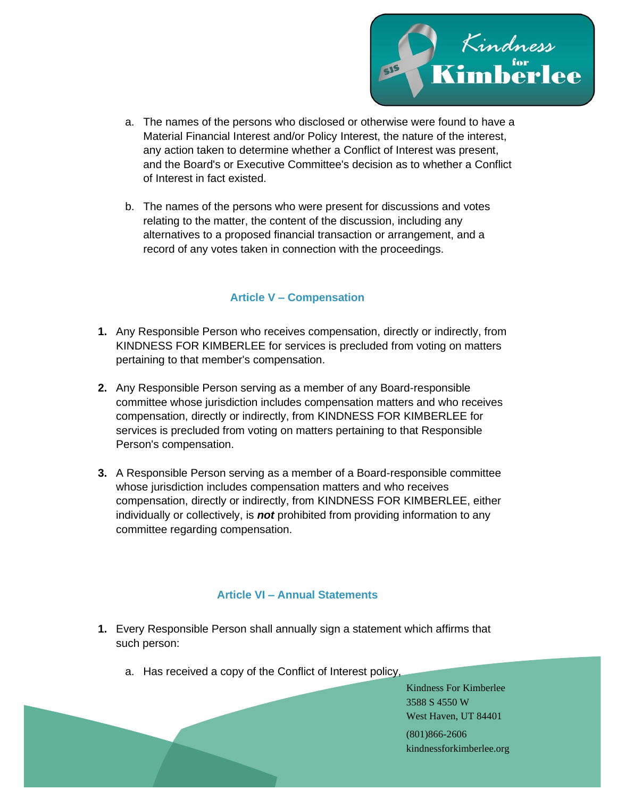

- a. The names of the persons who disclosed or otherwise were found to have a Material Financial Interest and/or Policy Interest, the nature of the interest, any action taken to determine whether a Conflict of Interest was present, and the Board's or Executive Committee's decision as to whether a Conflict of Interest in fact existed.
- b. The names of the persons who were present for discussions and votes relating to the matter, the content of the discussion, including any alternatives to a proposed financial transaction or arrangement, and a record of any votes taken in connection with the proceedings.

## **Article V – Compensation**

- **1.** Any Responsible Person who receives compensation, directly or indirectly, from KINDNESS FOR KIMBERLEE for services is precluded from voting on matters pertaining to that member's compensation.
- **2.** Any Responsible Person serving as a member of any Board-responsible committee whose jurisdiction includes compensation matters and who receives compensation, directly or indirectly, from KINDNESS FOR KIMBERLEE for services is precluded from voting on matters pertaining to that Responsible Person's compensation.
- **3.** A Responsible Person serving as a member of a Board-responsible committee whose jurisdiction includes compensation matters and who receives compensation, directly or indirectly, from KINDNESS FOR KIMBERLEE, either individually or collectively, is *not* prohibited from providing information to any committee regarding compensation.

#### **Article VI – Annual Statements**

- **1.** Every Responsible Person shall annually sign a statement which affirms that such person:
	- a. Has received a copy of the Conflict of Interest policy,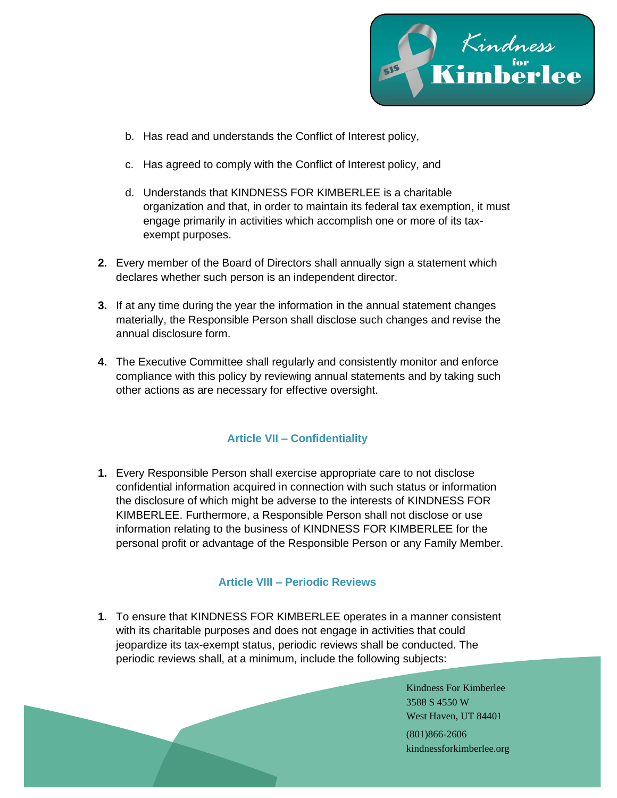

- b. Has read and understands the Conflict of Interest policy,
- c. Has agreed to comply with the Conflict of Interest policy, and
- d. Understands that KINDNESS FOR KIMBERLEE is a charitable organization and that, in order to maintain its federal tax exemption, it must engage primarily in activities which accomplish one or more of its taxexempt purposes.
- **2.** Every member of the Board of Directors shall annually sign a statement which declares whether such person is an independent director.
- **3.** If at any time during the year the information in the annual statement changes materially, the Responsible Person shall disclose such changes and revise the annual disclosure form.
- **4.** The Executive Committee shall regularly and consistently monitor and enforce compliance with this policy by reviewing annual statements and by taking such other actions as are necessary for effective oversight.

# **Article VII – Confidentiality**

**1.** Every Responsible Person shall exercise appropriate care to not disclose confidential information acquired in connection with such status or information the disclosure of which might be adverse to the interests of KINDNESS FOR KIMBERLEE. Furthermore, a Responsible Person shall not disclose or use information relating to the business of KINDNESS FOR KIMBERLEE for the personal profit or advantage of the Responsible Person or any Family Member.

#### **Article VIII – Periodic Reviews**

**1.** To ensure that KINDNESS FOR KIMBERLEE operates in a manner consistent with its charitable purposes and does not engage in activities that could jeopardize its tax-exempt status, periodic reviews shall be conducted. The periodic reviews shall, at a minimum, include the following subjects: